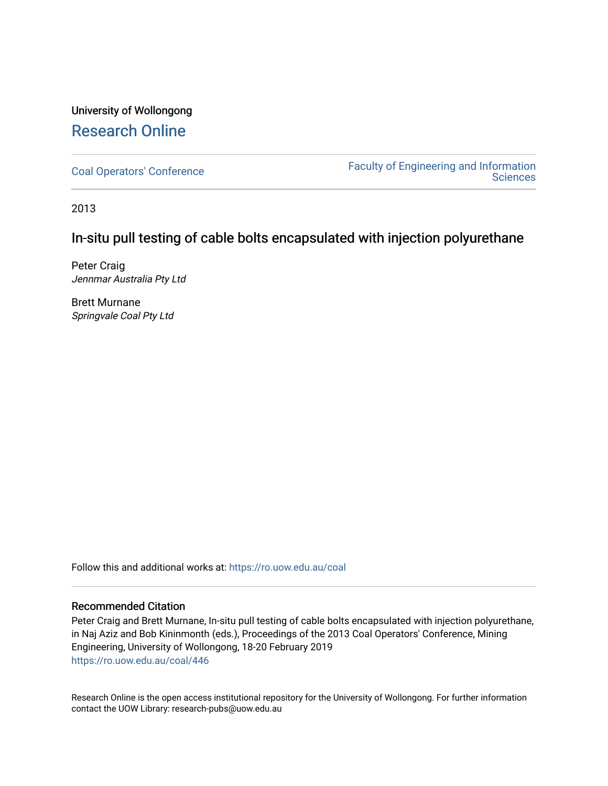### University of Wollongong [Research Online](https://ro.uow.edu.au/)

[Coal Operators' Conference](https://ro.uow.edu.au/coal) [Faculty of Engineering and Information](https://ro.uow.edu.au/eis)  **Sciences** 

2013

### In-situ pull testing of cable bolts encapsulated with injection polyurethane

Peter Craig Jennmar Australia Pty Ltd

Brett Murnane Springvale Coal Pty Ltd

Follow this and additional works at: [https://ro.uow.edu.au/coal](https://ro.uow.edu.au/coal?utm_source=ro.uow.edu.au%2Fcoal%2F446&utm_medium=PDF&utm_campaign=PDFCoverPages) 

#### Recommended Citation

Peter Craig and Brett Murnane, In-situ pull testing of cable bolts encapsulated with injection polyurethane, in Naj Aziz and Bob Kininmonth (eds.), Proceedings of the 2013 Coal Operators' Conference, Mining Engineering, University of Wollongong, 18-20 February 2019 [https://ro.uow.edu.au/coal/446](https://ro.uow.edu.au/coal/446?utm_source=ro.uow.edu.au%2Fcoal%2F446&utm_medium=PDF&utm_campaign=PDFCoverPages) 

Research Online is the open access institutional repository for the University of Wollongong. For further information contact the UOW Library: research-pubs@uow.edu.au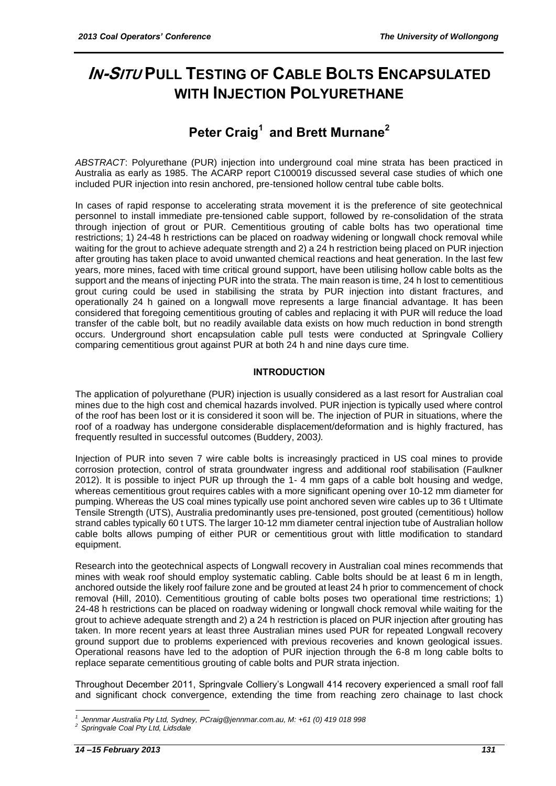# **IN-SITU PULL TESTING OF CABLE BOLTS ENCAPSULATED WITH INJECTION POLYURETHANE**

## **Peter Craig<sup>1</sup> and Brett Murnane<sup>2</sup>**

*ABSTRACT*: Polyurethane (PUR) injection into underground coal mine strata has been practiced in Australia as early as 1985. The ACARP report C100019 discussed several case studies of which one included PUR injection into resin anchored, pre-tensioned hollow central tube cable bolts.

In cases of rapid response to accelerating strata movement it is the preference of site geotechnical personnel to install immediate pre-tensioned cable support, followed by re-consolidation of the strata through injection of grout or PUR. Cementitious grouting of cable bolts has two operational time restrictions; 1) 24-48 h restrictions can be placed on roadway widening or longwall chock removal while waiting for the grout to achieve adequate strength and 2) a 24 h restriction being placed on PUR injection after grouting has taken place to avoid unwanted chemical reactions and heat generation. In the last few years, more mines, faced with time critical ground support, have been utilising hollow cable bolts as the support and the means of injecting PUR into the strata. The main reason is time, 24 h lost to cementitious grout curing could be used in stabilising the strata by PUR injection into distant fractures, and operationally 24 h gained on a longwall move represents a large financial advantage. It has been considered that foregoing cementitious grouting of cables and replacing it with PUR will reduce the load transfer of the cable bolt, but no readily available data exists on how much reduction in bond strength occurs. Underground short encapsulation cable pull tests were conducted at Springvale Colliery comparing cementitious grout against PUR at both 24 h and nine days cure time.

#### **INTRODUCTION**

The application of polyurethane (PUR) injection is usually considered as a last resort for Australian coal mines due to the high cost and chemical hazards involved. PUR injection is typically used where control of the roof has been lost or it is considered it soon will be. The injection of PUR in situations, where the roof of a roadway has undergone considerable displacement/deformation and is highly fractured, has frequently resulted in successful outcomes (Buddery, 2003*).*

Injection of PUR into seven 7 wire cable bolts is increasingly practiced in US coal mines to provide corrosion protection, control of strata groundwater ingress and additional roof stabilisation (Faulkner 2012). It is possible to inject PUR up through the 1- 4 mm gaps of a cable bolt housing and wedge, whereas cementitious grout requires cables with a more significant opening over 10-12 mm diameter for pumping. Whereas the US coal mines typically use point anchored seven wire cables up to 36 t Ultimate Tensile Strength (UTS), Australia predominantly uses pre-tensioned, post grouted (cementitious) hollow strand cables typically 60 t UTS. The larger 10-12 mm diameter central injection tube of Australian hollow cable bolts allows pumping of either PUR or cementitious grout with little modification to standard equipment.

Research into the geotechnical aspects of Longwall recovery in Australian coal mines recommends that mines with weak roof should employ systematic cabling. Cable bolts should be at least 6 m in length, anchored outside the likely roof failure zone and be grouted at least 24 h prior to commencement of chock removal (Hill, 2010). Cementitious grouting of cable bolts poses two operational time restrictions; 1) 24-48 h restrictions can be placed on roadway widening or longwall chock removal while waiting for the grout to achieve adequate strength and 2) a 24 h restriction is placed on PUR injection after grouting has taken. In more recent years at least three Australian mines used PUR for repeated Longwall recovery ground support due to problems experienced with previous recoveries and known geological issues. Operational reasons have led to the adoption of PUR injection through the 6-8 m long cable bolts to replace separate cementitious grouting of cable bolts and PUR strata injection.

Throughout December 2011, Springvale Colliery's Longwall 414 recovery experienced a small roof fall and significant chock convergence, extending the time from reaching zero chainage to last chock

<sup>1</sup> *1 Jennmar Australia Pty Ltd, Sydney, [PCraig@jennmar.com.au,](mailto:PCraig@jennmar.com.au) M: +61 (0) 419 018 998*

*<sup>2</sup> Springvale Coal Pty Ltd, Lidsdale*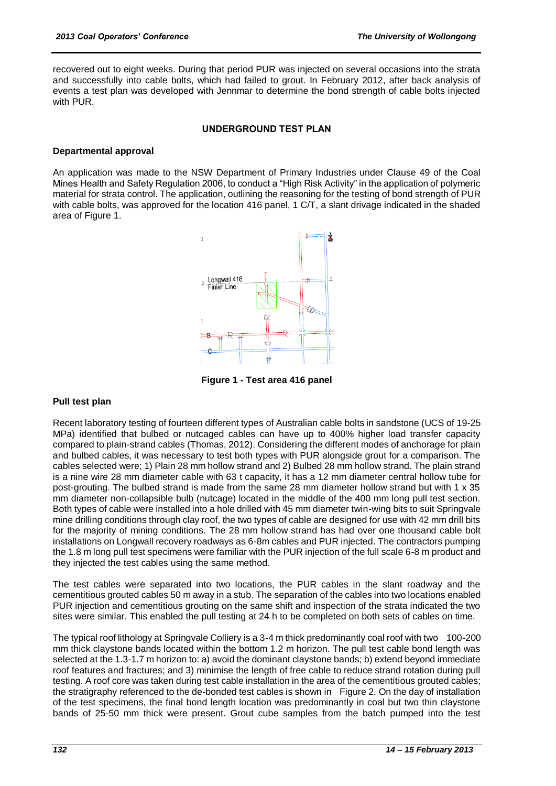recovered out to eight weeks. During that period PUR was injected on several occasions into the strata and successfully into cable bolts, which had failed to grout. In February 2012, after back analysis of events a test plan was developed with Jennmar to determine the bond strength of cable bolts injected with PUR.

#### **UNDERGROUND TEST PLAN**

#### **Departmental approval**

An application was made to the NSW Department of Primary Industries under Clause 49 of the Coal Mines Health and Safety Regulation 2006, to conduct a "High Risk Activity" in the application of polymeric material for strata control. The application, outlining the reasoning for the testing of bond strength of PUR with cable bolts, was approved for the location 416 panel, 1 C/T, a slant drivage indicated in the shaded area of Figure 1.



**Figure 1 - Test area 416 panel**

#### **Pull test plan**

Recent laboratory testing of fourteen different types of Australian cable bolts in sandstone (UCS of 19-25 MPa) identified that bulbed or nutcaged cables can have up to 400% higher load transfer capacity compared to plain-strand cables (Thomas, 2012). Considering the different modes of anchorage for plain and bulbed cables, it was necessary to test both types with PUR alongside grout for a comparison. The cables selected were; 1) Plain 28 mm hollow strand and 2) Bulbed 28 mm hollow strand. The plain strand is a nine wire 28 mm diameter cable with 63 t capacity, it has a 12 mm diameter central hollow tube for post-grouting. The bulbed strand is made from the same 28 mm diameter hollow strand but with 1 x 35 mm diameter non-collapsible bulb (nutcage) located in the middle of the 400 mm long pull test section. Both types of cable were installed into a hole drilled with 45 mm diameter twin-wing bits to suit Springvale mine drilling conditions through clay roof, the two types of cable are designed for use with 42 mm drill bits for the majority of mining conditions. The 28 mm hollow strand has had over one thousand cable bolt installations on Longwall recovery roadways as 6-8m cables and PUR injected. The contractors pumping the 1.8 m long pull test specimens were familiar with the PUR injection of the full scale 6-8 m product and they injected the test cables using the same method.

The test cables were separated into two locations, the PUR cables in the slant roadway and the cementitious grouted cables 50 m away in a stub. The separation of the cables into two locations enabled PUR injection and cementitious grouting on the same shift and inspection of the strata indicated the two sites were similar. This enabled the pull testing at 24 h to be completed on both sets of cables on time.

The typical roof lithology at Springvale Colliery is a 3-4 m thick predominantly coal roof with two 100-200 mm thick claystone bands located within the bottom 1.2 m horizon. The pull test cable bond length was selected at the 1.3-1.7 m horizon to: a) avoid the dominant claystone bands; b) extend beyond immediate roof features and fractures; and 3) minimise the length of free cable to reduce strand rotation during pull testing. A roof core was taken during test cable installation in the area of the cementitious grouted cables; the stratigraphy referenced to the de-bonded test cables is shown in Figure 2. On the day of installation of the test specimens, the final bond length location was predominantly in coal but two thin claystone bands of 25-50 mm thick were present. Grout cube samples from the batch pumped into the test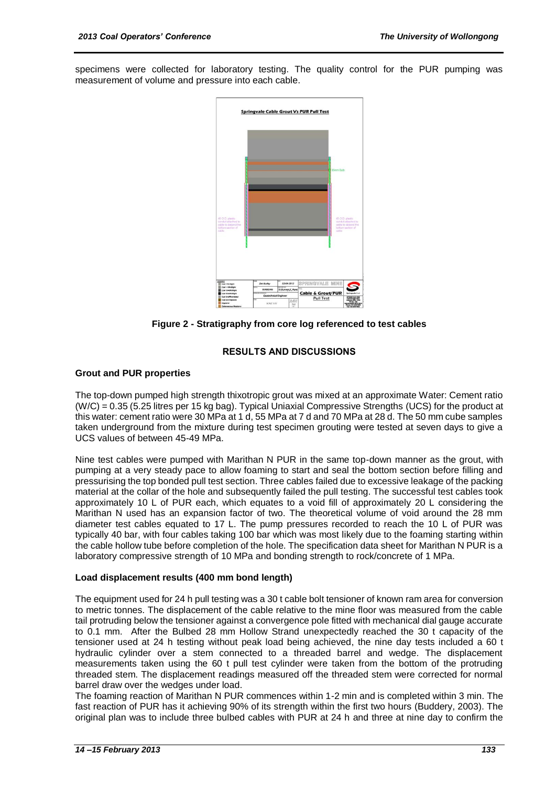specimens were collected for laboratory testing. The quality control for the PUR pumping was measurement of volume and pressure into each cable.



**Figure 2 - Stratigraphy from core log referenced to test cables**

#### **RESULTS AND DISCUSSIONS**

#### **Grout and PUR properties**

The top-down pumped high strength thixotropic grout was mixed at an approximate Water: Cement ratio (W/C) = 0.35 (5.25 litres per 15 kg bag). Typical Uniaxial Compressive Strengths (UCS) for the product at this water: cement ratio were 30 MPa at 1 d, 55 MPa at 7 d and 70 MPa at 28 d. The 50 mm cube samples taken underground from the mixture during test specimen grouting were tested at seven days to give a UCS values of between 45-49 MPa.

Nine test cables were pumped with Marithan N PUR in the same top-down manner as the grout, with pumping at a very steady pace to allow foaming to start and seal the bottom section before filling and pressurising the top bonded pull test section. Three cables failed due to excessive leakage of the packing material at the collar of the hole and subsequently failed the pull testing. The successful test cables took approximately 10 L of PUR each, which equates to a void fill of approximately 20 L considering the Marithan N used has an expansion factor of two. The theoretical volume of void around the 28 mm diameter test cables equated to 17 L. The pump pressures recorded to reach the 10 L of PUR was typically 40 bar, with four cables taking 100 bar which was most likely due to the foaming starting within the cable hollow tube before completion of the hole. The specification data sheet for Marithan N PUR is a laboratory compressive strength of 10 MPa and bonding strength to rock/concrete of 1 MPa.

#### **Load displacement results (400 mm bond length)**

The equipment used for 24 h pull testing was a 30 t cable bolt tensioner of known ram area for conversion to metric tonnes. The displacement of the cable relative to the mine floor was measured from the cable tail protruding below the tensioner against a convergence pole fitted with mechanical dial gauge accurate to 0.1 mm. After the Bulbed 28 mm Hollow Strand unexpectedly reached the 30 t capacity of the tensioner used at 24 h testing without peak load being achieved, the nine day tests included a 60 t hydraulic cylinder over a stem connected to a threaded barrel and wedge. The displacement measurements taken using the 60 t pull test cylinder were taken from the bottom of the protruding threaded stem. The displacement readings measured off the threaded stem were corrected for normal barrel draw over the wedges under load.

The foaming reaction of Marithan N PUR commences within 1-2 min and is completed within 3 min. The fast reaction of PUR has it achieving 90% of its strength within the first two hours (Buddery, 2003). The original plan was to include three bulbed cables with PUR at 24 h and three at nine day to confirm the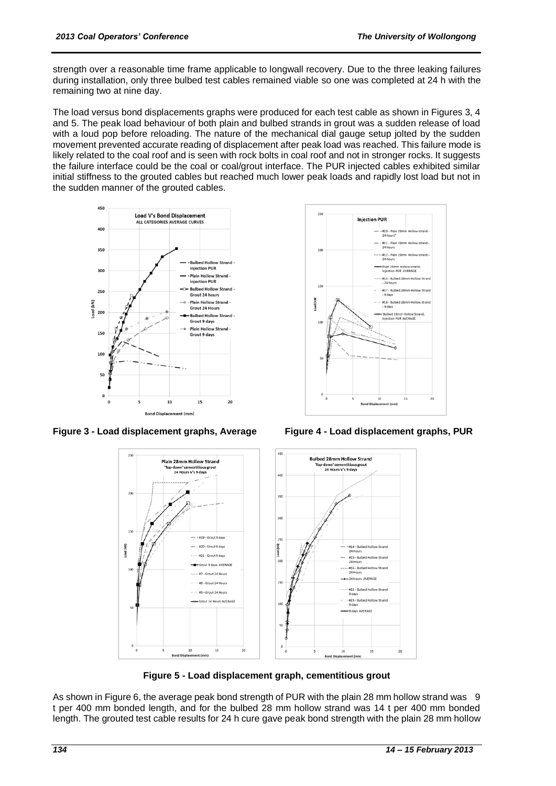strength over a reasonable time frame applicable to longwall recovery. Due to the three leaking failures during installation, only three bulbed test cables remained viable so one was completed at 24 h with the remaining two at nine day.

The load versus bond displacements graphs were produced for each test cable as shown in Figures 3, 4 and 5. The peak load behaviour of both plain and bulbed strands in grout was a sudden release of load with a loud pop before reloading. The nature of the mechanical dial gauge setup jolted by the sudden movement prevented accurate reading of displacement after peak load was reached. This failure mode is likely related to the coal roof and is seen with rock bolts in coal roof and not in stronger rocks. It suggests the failure interface could be the coal or coal/grout interface. The PUR injected cables exhibited similar initial stiffness to the grouted cables but reached much lower peak loads and rapidly lost load but not in the sudden manner of the grouted cables.



**Figure 3 - Load displacement graphs, Average Figure 4 - Load displacement graphs, PUR** 





**Figure 5 - Load displacement graph, cementitious grout**

As shown in Figure 6, the average peak bond strength of PUR with the plain 28 mm hollow strand was 9 t per 400 mm bonded length, and for the bulbed 28 mm hollow strand was 14 t per 400 mm bonded length. The grouted test cable results for 24 h cure gave peak bond strength with the plain 28 mm hollow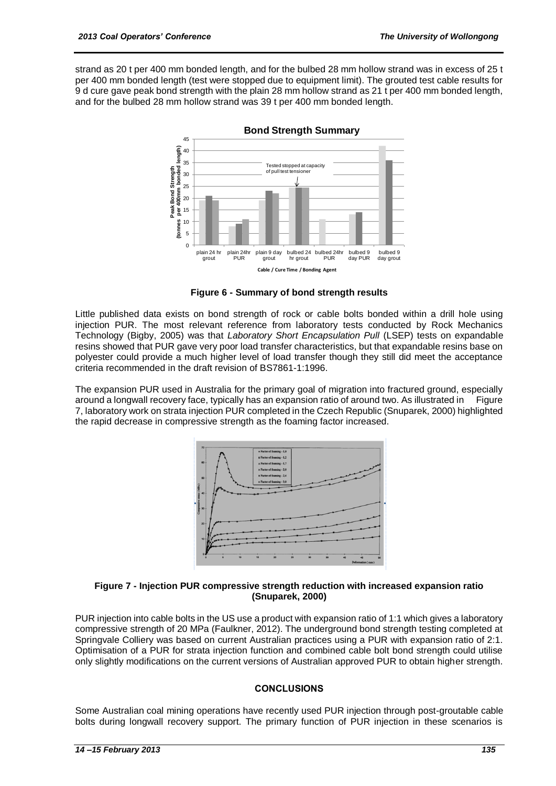strand as 20 t per 400 mm bonded length, and for the bulbed 28 mm hollow strand was in excess of 25 t per 400 mm bonded length (test were stopped due to equipment limit). The grouted test cable results for 9 d cure gave peak bond strength with the plain 28 mm hollow strand as 21 t per 400 mm bonded length, and for the bulbed 28 mm hollow strand was 39 t per 400 mm bonded length.



**Bond Strength Summary** 

**Figure 6 - Summary of bond strength results**

Little published data exists on bond strength of rock or cable bolts bonded within a drill hole using injection PUR. The most relevant reference from laboratory tests conducted by Rock Mechanics Technology (Bigby, 2005) was that *Laboratory Short Encapsulation Pull* (LSEP) tests on expandable resins showed that PUR gave very poor load transfer characteristics, but that expandable resins base on polyester could provide a much higher level of load transfer though they still did meet the acceptance criteria recommended in the draft revision of BS7861-1:1996.

The expansion PUR used in Australia for the primary goal of migration into fractured ground, especially around a longwall recovery face, typically has an expansion ratio of around two. As illustrated in Figure 7, laboratory work on strata injection PUR completed in the Czech Republic (Snuparek, 2000) highlighted the rapid decrease in compressive strength as the foaming factor increased.



#### **Figure 7 - Injection PUR compressive strength reduction with increased expansion ratio (Snuparek, 2000)**

PUR injection into cable bolts in the US use a product with expansion ratio of 1:1 which gives a laboratory compressive strength of 20 MPa (Faulkner, 2012). The underground bond strength testing completed at Springvale Colliery was based on current Australian practices using a PUR with expansion ratio of 2:1. Optimisation of a PUR for strata injection function and combined cable bolt bond strength could utilise only slightly modifications on the current versions of Australian approved PUR to obtain higher strength.

#### **CONCLUSIONS**

Some Australian coal mining operations have recently used PUR injection through post-groutable cable bolts during longwall recovery support. The primary function of PUR injection in these scenarios is